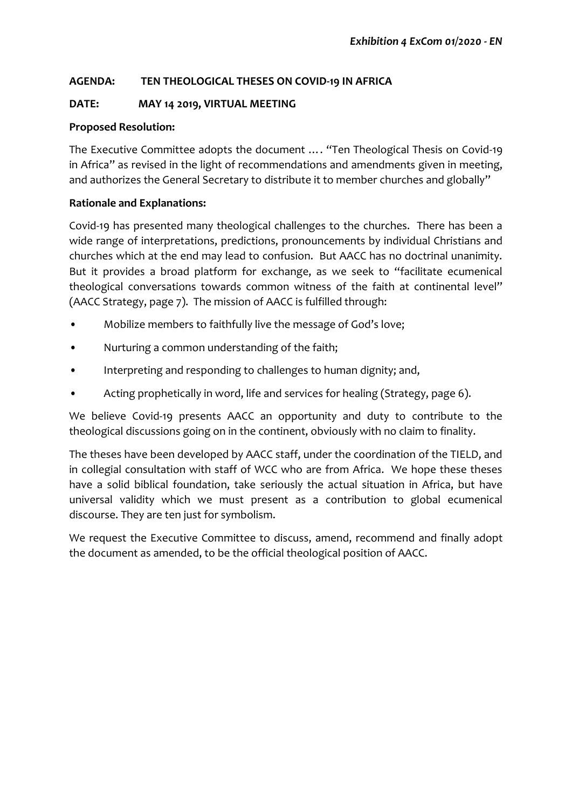# **AGENDA: TEN THEOLOGICAL THESES ON COVID-19 IN AFRICA**

# **DATE: MAY 14 2019, VIRTUAL MEETING**

# **Proposed Resolution:**

The Executive Committee adopts the document …. "Ten Theological Thesis on Covid-19 in Africa" as revised in the light of recommendations and amendments given in meeting, and authorizes the General Secretary to distribute it to member churches and globally"

## **Rationale and Explanations:**

Covid-19 has presented many theological challenges to the churches. There has been a wide range of interpretations, predictions, pronouncements by individual Christians and churches which at the end may lead to confusion. But AACC has no doctrinal unanimity. But it provides a broad platform for exchange, as we seek to "facilitate ecumenical theological conversations towards common witness of the faith at continental level" (AACC Strategy, page 7). The mission of AACC is fulfilled through:

- Mobilize members to faithfully live the message of God's love;
- Nurturing a common understanding of the faith;
- Interpreting and responding to challenges to human dignity; and,
- Acting prophetically in word, life and services for healing (Strategy, page 6).

We believe Covid-19 presents AACC an opportunity and duty to contribute to the theological discussions going on in the continent, obviously with no claim to finality.

The theses have been developed by AACC staff, under the coordination of the TIELD, and in collegial consultation with staff of WCC who are from Africa. We hope these theses have a solid biblical foundation, take seriously the actual situation in Africa, but have universal validity which we must present as a contribution to global ecumenical discourse. They are ten just for symbolism.

We request the Executive Committee to discuss, amend, recommend and finally adopt the document as amended, to be the official theological position of AACC.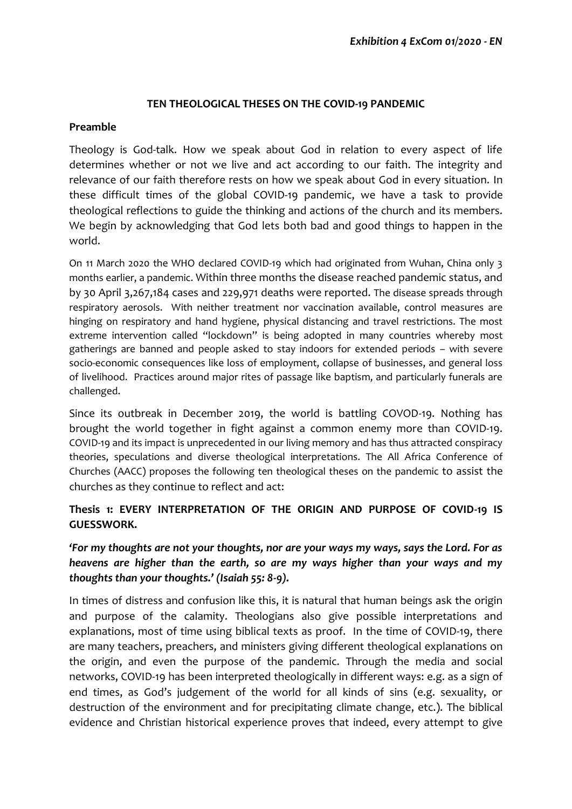#### **TEN THEOLOGICAL THESES ON THE COVID-19 PANDEMIC**

#### **Preamble**

Theology is God-talk. How we speak about God in relation to every aspect of life determines whether or not we live and act according to our faith. The integrity and relevance of our faith therefore rests on how we speak about God in every situation. In these difficult times of the global COVID-19 pandemic, we have a task to provide theological reflections to guide the thinking and actions of the church and its members. We begin by acknowledging that God lets both bad and good things to happen in the world.

On 11 March 2020 the WHO declared COVID-19 which had originated from Wuhan, China only 3 months earlier, a pandemic. Within three months the disease reached pandemic status, and by 30 April 3,267,184 cases and 229,971 deaths were reported. The disease spreads through respiratory aerosols. With neither treatment nor vaccination available, control measures are hinging on respiratory and hand hygiene, physical distancing and travel restrictions. The most extreme intervention called "lockdown" is being adopted in many countries whereby most gatherings are banned and people asked to stay indoors for extended periods – with severe socio-economic consequences like loss of employment, collapse of businesses, and general loss of livelihood. Practices around major rites of passage like baptism, and particularly funerals are challenged.

Since its outbreak in December 2019, the world is battling COVOD-19. Nothing has brought the world together in fight against a common enemy more than COVID-19. COVID-19 and its impact is unprecedented in our living memory and has thus attracted conspiracy theories, speculations and diverse theological interpretations. The All Africa Conference of Churches (AACC) proposes the following ten theological theses on the pandemic to assist the churches as they continue to reflect and act:

# **Thesis 1: EVERY INTERPRETATION OF THE ORIGIN AND PURPOSE OF COVID-19 IS GUESSWORK.**

*'For my thoughts are not your thoughts, nor are your ways my ways, says the Lord. For as heavens are higher than the earth, so are my ways higher than your ways and my thoughts than your thoughts.' (Isaiah 55: 8-9).*

In times of distress and confusion like this, it is natural that human beings ask the origin and purpose of the calamity. Theologians also give possible interpretations and explanations, most of time using biblical texts as proof. In the time of COVID-19, there are many teachers, preachers, and ministers giving different theological explanations on the origin, and even the purpose of the pandemic. Through the media and social networks, COVID-19 has been interpreted theologically in different ways: e.g. as a sign of end times, as God's judgement of the world for all kinds of sins (e.g. sexuality, or destruction of the environment and for precipitating climate change, etc.). The biblical evidence and Christian historical experience proves that indeed, every attempt to give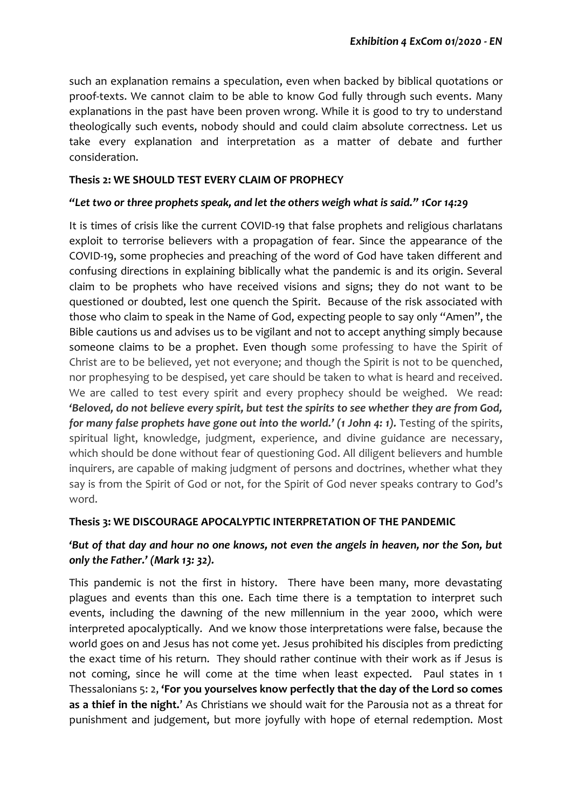such an explanation remains a speculation, even when backed by biblical quotations or proof-texts. We cannot claim to be able to know God fully through such events. Many explanations in the past have been proven wrong. While it is good to try to understand theologically such events, nobody should and could claim absolute correctness. Let us take every explanation and interpretation as a matter of debate and further consideration.

#### **Thesis 2: WE SHOULD TEST EVERY CLAIM OF PROPHECY**

#### *"Let two or three prophets speak, and let the others weigh what is said." 1Cor 14:29*

It is times of crisis like the current COVID-19 that false prophets and religious charlatans exploit to terrorise believers with a propagation of fear. Since the appearance of the COVID-19, some prophecies and preaching of the word of God have taken different and confusing directions in explaining biblically what the pandemic is and its origin. Several claim to be prophets who have received visions and signs; they do not want to be questioned or doubted, lest one quench the Spirit. Because of the risk associated with those who claim to speak in the Name of God, expecting people to say only "Amen", the Bible cautions us and advises us to be vigilant and not to accept anything simply because someone claims to be a prophet. Even though some professing to have the Spirit of Christ are to be believed, yet not everyone; and though the Spirit is not to be quenched, nor prophesying to be despised, yet care should be taken to what is heard and received. We are called to test every spirit and every prophecy should be weighed. We read: *'Beloved, do not believe every spirit, but test the spirits to see whether they are from God, for many false prophets have gone out into the world.' (1 John 4: 1).* Testing of the spirits, spiritual light, knowledge, judgment, experience, and divine guidance are necessary, which should be done without fear of questioning God. All diligent believers and humble inquirers, are capable of making judgment of persons and doctrines, whether what they say is from the Spirit of God or not, for the Spirit of God never speaks contrary to God's word.

#### **Thesis 3: WE DISCOURAGE APOCALYPTIC INTERPRETATION OF THE PANDEMIC**

# *'But of that day and hour no one knows, not even the angels in heaven, nor the Son, but only the Father.' (Mark 13: 32).*

This pandemic is not the first in history. There have been many, more devastating plagues and events than this one. Each time there is a temptation to interpret such events, including the dawning of the new millennium in the year 2000, which were interpreted apocalyptically. And we know those interpretations were false, because the world goes on and Jesus has not come yet. Jesus prohibited his disciples from predicting the exact time of his return. They should rather continue with their work as if Jesus is not coming, since he will come at the time when least expected. Paul states in 1 Thessalonians 5: 2, **'For you yourselves know perfectly that the day of the Lord so comes as a thief in the night.**' As Christians we should wait for the Parousia not as a threat for punishment and judgement, but more joyfully with hope of eternal redemption. Most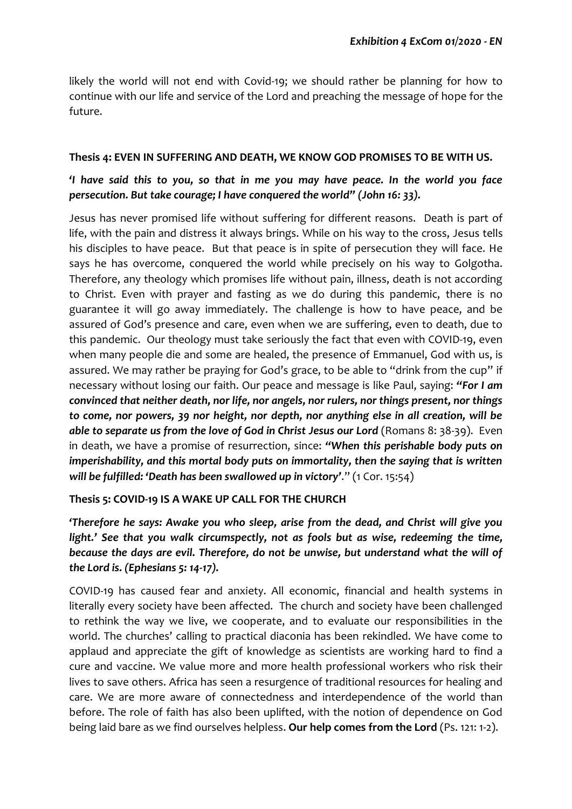likely the world will not end with Covid-19; we should rather be planning for how to continue with our life and service of the Lord and preaching the message of hope for the future.

#### **Thesis 4: EVEN IN SUFFERING AND DEATH, WE KNOW GOD PROMISES TO BE WITH US.**

# *'I have said this to you, so that in me you may have peace. In the world you face persecution. But take courage; I have conquered the world" (John 16: 33).*

Jesus has never promised life without suffering for different reasons. Death is part of life, with the pain and distress it always brings. While on his way to the cross, Jesus tells his disciples to have peace. But that peace is in spite of persecution they will face. He says he has overcome, conquered the world while precisely on his way to Golgotha. Therefore, any theology which promises life without pain, illness, death is not according to Christ. Even with prayer and fasting as we do during this pandemic, there is no guarantee it will go away immediately. The challenge is how to have peace, and be assured of God's presence and care, even when we are suffering, even to death, due to this pandemic. Our theology must take seriously the fact that even with COVID-19, even when many people die and some are healed, the presence of Emmanuel, God with us, is assured. We may rather be praying for God's grace, to be able to "drink from the cup" if necessary without losing our faith. Our peace and message is like Paul, saying: *"For I am convinced that neither death, nor life, nor angels, nor rulers, nor things present, nor things to come, nor powers, 39 nor height, nor depth, nor anything else in all creation, will be able to separate us from the love of God in Christ Jesus our Lord* (Romans 8: 38-39). Even in death, we have a promise of resurrection, since: *"When this perishable body puts on imperishability, and this mortal body puts on immortality, then the saying that is written will be fulfilled: 'Death has been swallowed up in victory'*." (1 Cor. 15:54)

#### **Thesis 5: COVID-19 IS A WAKE UP CALL FOR THE CHURCH**

*'Therefore he says: Awake you who sleep, arise from the dead, and Christ will give you light.'* See that you walk circumspectly, not as fools but as wise, redeeming the time, *because the days are evil. Therefore, do not be unwise, but understand what the will of the Lord is. (Ephesians 5: 14-17).*

COVID-19 has caused fear and anxiety. All economic, financial and health systems in literally every society have been affected. The church and society have been challenged to rethink the way we live, we cooperate, and to evaluate our responsibilities in the world. The churches' calling to practical diaconia has been rekindled. We have come to applaud and appreciate the gift of knowledge as scientists are working hard to find a cure and vaccine. We value more and more health professional workers who risk their lives to save others. Africa has seen a resurgence of traditional resources for healing and care. We are more aware of connectedness and interdependence of the world than before. The role of faith has also been uplifted, with the notion of dependence on God being laid bare as we find ourselves helpless. **Our help comes from the Lord** (Ps. 121: 1-2).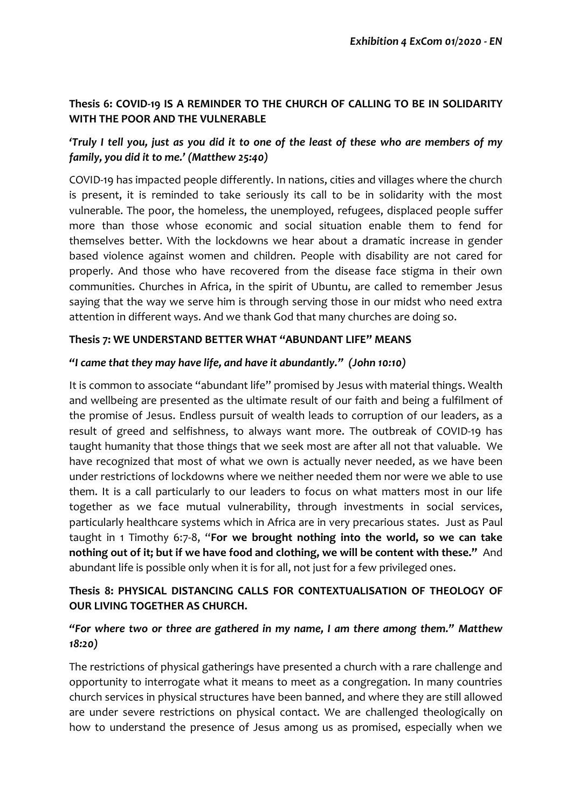# **Thesis 6: COVID-19 IS A REMINDER TO THE CHURCH OF CALLING TO BE IN SOLIDARITY WITH THE POOR AND THE VULNERABLE**

# *'Truly I tell you, just as you did it to one of the least of these who are members of my family, you did it to me.' (Matthew 25:40)*

COVID-19 has impacted people differently. In nations, cities and villages where the church is present, it is reminded to take seriously its call to be in solidarity with the most vulnerable. The poor, the homeless, the unemployed, refugees, displaced people suffer more than those whose economic and social situation enable them to fend for themselves better. With the lockdowns we hear about a dramatic increase in gender based violence against women and children. People with disability are not cared for properly. And those who have recovered from the disease face stigma in their own communities. Churches in Africa, in the spirit of Ubuntu, are called to remember Jesus saying that the way we serve him is through serving those in our midst who need extra attention in different ways. And we thank God that many churches are doing so.

## **Thesis 7: WE UNDERSTAND BETTER WHAT "ABUNDANT LIFE" MEANS**

#### *"I came that they may have life, and have it abundantly." (John 10:10)*

It is common to associate "abundant life" promised by Jesus with material things. Wealth and wellbeing are presented as the ultimate result of our faith and being a fulfilment of the promise of Jesus. Endless pursuit of wealth leads to corruption of our leaders, as a result of greed and selfishness, to always want more. The outbreak of COVID-19 has taught humanity that those things that we seek most are after all not that valuable. We have recognized that most of what we own is actually never needed, as we have been under restrictions of lockdowns where we neither needed them nor were we able to use them. It is a call particularly to our leaders to focus on what matters most in our life together as we face mutual vulnerability, through investments in social services, particularly healthcare systems which in Africa are in very precarious states. Just as Paul taught in 1 Timothy 6:7-8, "**For we brought nothing into the world, so we can take nothing out of it; but if we have food and clothing, we will be content with these."** And abundant life is possible only when it is for all, not just for a few privileged ones.

# **Thesis 8: PHYSICAL DISTANCING CALLS FOR CONTEXTUALISATION OF THEOLOGY OF OUR LIVING TOGETHER AS CHURCH.**

# *"For where two or three are gathered in my name, I am there among them." Matthew 18:20)*

The restrictions of physical gatherings have presented a church with a rare challenge and opportunity to interrogate what it means to meet as a congregation. In many countries church services in physical structures have been banned, and where they are still allowed are under severe restrictions on physical contact. We are challenged theologically on how to understand the presence of Jesus among us as promised, especially when we